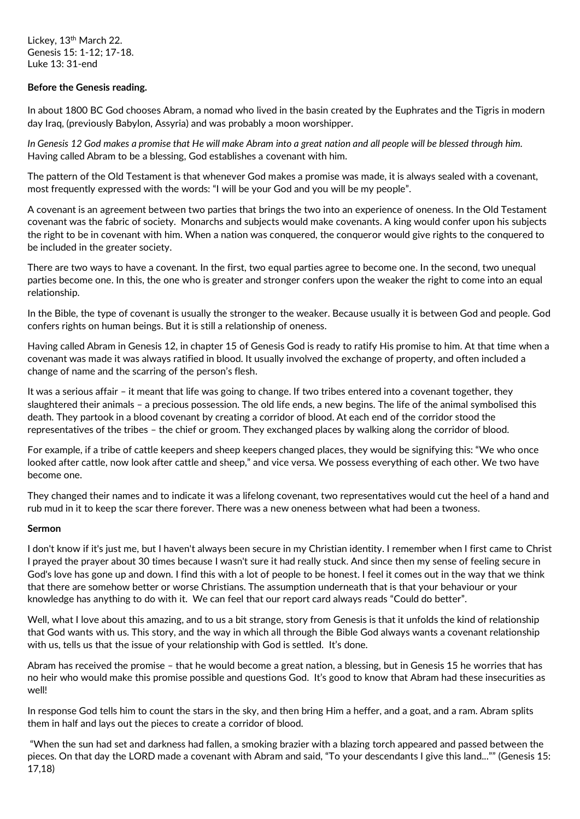Lickey, 13<sup>th</sup> March 22. Genesis 15: 1-12; 17-18. Luke 13: 31-end

## **Before the Genesis reading.**

In about 1800 BC God chooses Abram, a nomad who lived in the basin created by the Euphrates and the Tigris in modern day Iraq, (previously Babylon, Assyria) and was probably a moon worshipper.

*In Genesis 12 God makes a promise that He will make Abram into a great nation and all people will be blessed through him.* Having called Abram to be a blessing, God establishes a covenant with him.

The pattern of the Old Testament is that whenever God makes a promise was made, it is always sealed with a covenant, most frequently expressed with the words: "I will be your God and you will be my people".

A covenant is an agreement between two parties that brings the two into an experience of oneness. In the Old Testament covenant was the fabric of society. Monarchs and subjects would make covenants. A king would confer upon his subjects the right to be in covenant with him. When a nation was conquered, the conqueror would give rights to the conquered to be included in the greater society.

There are two ways to have a covenant. In the first, two equal parties agree to become one. In the second, two unequal parties become one. In this, the one who is greater and stronger confers upon the weaker the right to come into an equal relationship.

In the Bible, the type of covenant is usually the stronger to the weaker. Because usually it is between God and people. God confers rights on human beings. But it is still a relationship of oneness.

Having called Abram in Genesis 12, in chapter 15 of Genesis God is ready to ratify His promise to him. At that time when a covenant was made it was always ratified in blood. It usually involved the exchange of property, and often included a change of name and the scarring of the person's flesh.

It was a serious affair – it meant that life was going to change. If two tribes entered into a covenant together, they slaughtered their animals – a precious possession. The old life ends, a new begins. The life of the animal symbolised this death. They partook in a blood covenant by creating a corridor of blood. At each end of the corridor stood the representatives of the tribes – the chief or groom. They exchanged places by walking along the corridor of blood.

For example, if a tribe of cattle keepers and sheep keepers changed places, they would be signifying this: "We who once looked after cattle, now look after cattle and sheep," and vice versa. We possess everything of each other. We two have become one.

They changed their names and to indicate it was a lifelong covenant, two representatives would cut the heel of a hand and rub mud in it to keep the scar there forever. There was a new oneness between what had been a twoness.

## **Sermon**

I don't know if it's just me, but I haven't always been secure in my Christian identity. I remember when I first came to Christ I prayed the prayer about 30 times because I wasn't sure it had really stuck. And since then my sense of feeling secure in God's love has gone up and down. I find this with a lot of people to be honest. I feel it comes out in the way that we think that there are somehow better or worse Christians. The assumption underneath that is that your behaviour or your knowledge has anything to do with it. We can feel that our report card always reads "Could do better".

Well, what I love about this amazing, and to us a bit strange, story from Genesis is that it unfolds the kind of relationship that God wants with us. This story, and the way in which all through the Bible God always wants a covenant relationship with us, tells us that the issue of your relationship with God is settled. It's done.

Abram has received the promise – that he would become a great nation, a blessing, but in Genesis 15 he worries that has no heir who would make this promise possible and questions God. It's good to know that Abram had these insecurities as well!

In response God tells him to count the stars in the sky, and then bring Him a heffer, and a goat, and a ram. Abram splits them in half and lays out the pieces to create a corridor of blood.

"When the sun had set and darkness had fallen, a smoking brazier with a blazing torch appeared and passed between the pieces. On that day the LORD made a covenant with Abram and said, "To your descendants I give this land..."" (Genesis 15: 17,18)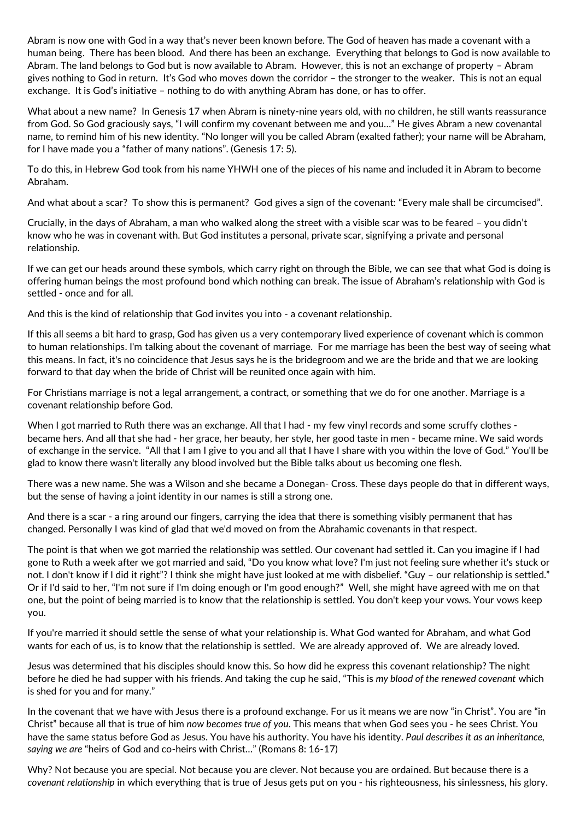Abram is now one with God in a way that's never been known before. The God of heaven has made a covenant with a human being. There has been blood. And there has been an exchange. Everything that belongs to God is now available to Abram. The land belongs to God but is now available to Abram. However, this is not an exchange of property – Abram gives nothing to God in return. It's God who moves down the corridor – the stronger to the weaker. This is not an equal exchange. It is God's initiative – nothing to do with anything Abram has done, or has to offer.

What about a new name? In Genesis 17 when Abram is ninety-nine years old, with no children, he still wants reassurance from God. So God graciously says, "I will confirm my covenant between me and you…" He gives Abram a new covenantal name, to remind him of his new identity. "No longer will you be called Abram (exalted father); your name will be Abraham, for I have made you a "father of many nations". (Genesis 17: 5).

To do this, in Hebrew God took from his name YHWH one of the pieces of his name and included it in Abram to become Abraham.

And what about a scar? To show this is permanent? God gives a sign of the covenant: "Every male shall be circumcised".

Crucially, in the days of Abraham, a man who walked along the street with a visible scar was to be feared – you didn't know who he was in covenant with. But God institutes a personal, private scar, signifying a private and personal relationship.

If we can get our heads around these symbols, which carry right on through the Bible, we can see that what God is doing is offering human beings the most profound bond which nothing can break. The issue of Abraham's relationship with God is settled - once and for all.

And this is the kind of relationship that God invites you into - a covenant relationship.

If this all seems a bit hard to grasp, God has given us a very contemporary lived experience of covenant which is common to human relationships. I'm talking about the covenant of marriage. For me marriage has been the best way of seeing what this means. In fact, it's no coincidence that Jesus says he is the bridegroom and we are the bride and that we are looking forward to that day when the bride of Christ will be reunited once again with him.

For Christians marriage is not a legal arrangement, a contract, or something that we do for one another. Marriage is a covenant relationship before God.

When I got married to Ruth there was an exchange. All that I had - my few vinyl records and some scruffy clothes became hers. And all that she had - her grace, her beauty, her style, her good taste in men - became mine. We said words of exchange in the service. "All that I am I give to you and all that I have I share with you within the love of God." You'll be glad to know there wasn't literally any blood involved but the Bible talks about us becoming one flesh.

There was a new name. She was a Wilson and she became a Donegan- Cross. These days people do that in different ways, but the sense of having a joint identity in our names is still a strong one.

And there is a scar - a ring around our fingers, carrying the idea that there is something visibly permanent that has changed. Personally I was kind of glad that we'd moved on from the Abrahamic covenants in that respect.

The point is that when we got married the relationship was settled. Our covenant had settled it. Can you imagine if I had gone to Ruth a week after we got married and said, "Do you know what love? I'm just not feeling sure whether it's stuck or not. I don't know if I did it right"? I think she might have just looked at me with disbelief. "Guy – our relationship is settled." Or if I'd said to her, "I'm not sure if I'm doing enough or I'm good enough?" Well, she might have agreed with me on that one, but the point of being married is to know that the relationship is settled. You don't keep your vows. Your vows keep you.

If you're married it should settle the sense of what your relationship is. What God wanted for Abraham, and what God wants for each of us, is to know that the relationship is settled. We are already approved of. We are already loved.

Jesus was determined that his disciples should know this. So how did he express this covenant relationship? The night before he died he had supper with his friends. And taking the cup he said, "This is *my blood of the renewed covenant* which is shed for you and for many."

In the covenant that we have with Jesus there is a profound exchange. For us it means we are now "in Christ". You are "in Christ" because all that is true of him *now becomes true of you*. This means that when God sees you - he sees Christ. You have the same status before God as Jesus. You have his authority. You have his identity. *Paul describes it as an inheritance, saying we are* "heirs of God and co-heirs with Christ…" (Romans 8: 16-17)

Why? Not because you are special. Not because you are clever. Not because you are ordained. But because there is a *covenant relationship* in which everything that is true of Jesus gets put on you - his righteousness, his sinlessness, his glory.